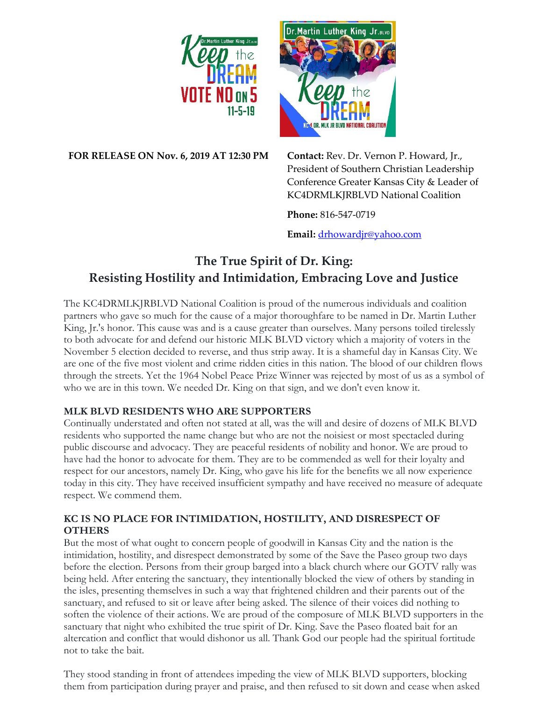



**FOR RELEASE ON Nov. 6, 2019 AT 12:30 PM Contact:** Rev. Dr. Vernon P. Howard, Jr.,

President of Southern Christian Leadership Conference Greater Kansas City & Leader of KC4DRMLKJRBLVD National Coalition

**Phone:** 816-547-0719

**Email:** [drhowardjr@yahoo.com](mailto:drhowardjr@yahoo.com)

# **The True Spirit of Dr. King: Resisting Hostility and Intimidation, Embracing Love and Justice**

The KC4DRMLKJRBLVD National Coalition is proud of the numerous individuals and coalition partners who gave so much for the cause of a major thoroughfare to be named in Dr. Martin Luther King, Jr.'s honor. This cause was and is a cause greater than ourselves. Many persons toiled tirelessly to both advocate for and defend our historic MLK BLVD victory which a majority of voters in the November 5 election decided to reverse, and thus strip away. It is a shameful day in Kansas City. We are one of the five most violent and crime ridden cities in this nation. The blood of our children flows through the streets. Yet the 1964 Nobel Peace Prize Winner was rejected by most of us as a symbol of who we are in this town. We needed Dr. King on that sign, and we don't even know it.

## **MLK BLVD RESIDENTS WHO ARE SUPPORTERS**

Continually understated and often not stated at all, was the will and desire of dozens of MLK BLVD residents who supported the name change but who are not the noisiest or most spectacled during public discourse and advocacy. They are peaceful residents of nobility and honor. We are proud to have had the honor to advocate for them. They are to be commended as well for their loyalty and respect for our ancestors, namely Dr. King, who gave his life for the benefits we all now experience today in this city. They have received insufficient sympathy and have received no measure of adequate respect. We commend them.

## **KC IS NO PLACE FOR INTIMIDATION, HOSTILITY, AND DISRESPECT OF OTHERS**

But the most of what ought to concern people of goodwill in Kansas City and the nation is the intimidation, hostility, and disrespect demonstrated by some of the Save the Paseo group two days before the election. Persons from their group barged into a black church where our GOTV rally was being held. After entering the sanctuary, they intentionally blocked the view of others by standing in the isles, presenting themselves in such a way that frightened children and their parents out of the sanctuary, and refused to sit or leave after being asked. The silence of their voices did nothing to soften the violence of their actions. We are proud of the composure of MLK BLVD supporters in the sanctuary that night who exhibited the true spirit of Dr. King. Save the Paseo floated bait for an altercation and conflict that would dishonor us all. Thank God our people had the spiritual fortitude not to take the bait.

They stood standing in front of attendees impeding the view of MLK BLVD supporters, blocking them from participation during prayer and praise, and then refused to sit down and cease when asked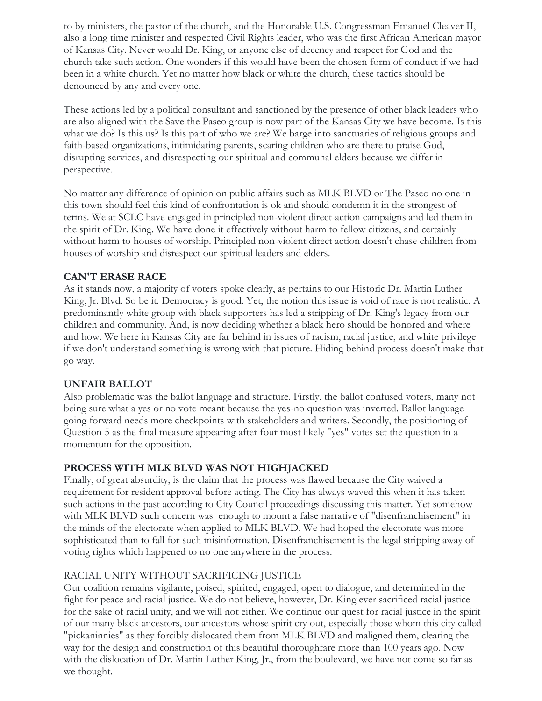to by ministers, the pastor of the church, and the Honorable U.S. Congressman Emanuel Cleaver II, also a long time minister and respected Civil Rights leader, who was the first African American mayor of Kansas City. Never would Dr. King, or anyone else of decency and respect for God and the church take such action. One wonders if this would have been the chosen form of conduct if we had been in a white church. Yet no matter how black or white the church, these tactics should be denounced by any and every one.

These actions led by a political consultant and sanctioned by the presence of other black leaders who are also aligned with the Save the Paseo group is now part of the Kansas City we have become. Is this what we do? Is this us? Is this part of who we are? We barge into sanctuaries of religious groups and faith-based organizations, intimidating parents, scaring children who are there to praise God, disrupting services, and disrespecting our spiritual and communal elders because we differ in perspective.

No matter any difference of opinion on public affairs such as MLK BLVD or The Paseo no one in this town should feel this kind of confrontation is ok and should condemn it in the strongest of terms. We at SCLC have engaged in principled non-violent direct-action campaigns and led them in the spirit of Dr. King. We have done it effectively without harm to fellow citizens, and certainly without harm to houses of worship. Principled non-violent direct action doesn't chase children from houses of worship and disrespect our spiritual leaders and elders.

### **CAN'T ERASE RACE**

As it stands now, a majority of voters spoke clearly, as pertains to our Historic Dr. Martin Luther King, Jr. Blvd. So be it. Democracy is good. Yet, the notion this issue is void of race is not realistic. A predominantly white group with black supporters has led a stripping of Dr. King's legacy from our children and community. And, is now deciding whether a black hero should be honored and where and how. We here in Kansas City are far behind in issues of racism, racial justice, and white privilege if we don't understand something is wrong with that picture. Hiding behind process doesn't make that go way.

#### **UNFAIR BALLOT**

Also problematic was the ballot language and structure. Firstly, the ballot confused voters, many not being sure what a yes or no vote meant because the yes-no question was inverted. Ballot language going forward needs more checkpoints with stakeholders and writers. Secondly, the positioning of Question 5 as the final measure appearing after four most likely "yes" votes set the question in a momentum for the opposition.

#### **PROCESS WITH MLK BLVD WAS NOT HIGHJACKED**

Finally, of great absurdity, is the claim that the process was flawed because the City waived a requirement for resident approval before acting. The City has always waved this when it has taken such actions in the past according to City Council proceedings discussing this matter. Yet somehow with MLK BLVD such concern was enough to mount a false narrative of "disenfranchisement" in the minds of the electorate when applied to MLK BLVD. We had hoped the electorate was more sophisticated than to fall for such misinformation. Disenfranchisement is the legal stripping away of voting rights which happened to no one anywhere in the process.

#### RACIAL UNITY WITHOUT SACRIFICING JUSTICE

Our coalition remains vigilante, poised, spirited, engaged, open to dialogue, and determined in the fight for peace and racial justice. We do not believe, however, Dr. King ever sacrificed racial justice for the sake of racial unity, and we will not either. We continue our quest for racial justice in the spirit of our many black ancestors, our ancestors whose spirit cry out, especially those whom this city called "pickaninnies" as they forcibly dislocated them from MLK BLVD and maligned them, clearing the way for the design and construction of this beautiful thoroughfare more than 100 years ago. Now with the dislocation of Dr. Martin Luther King, Jr., from the boulevard, we have not come so far as we thought.